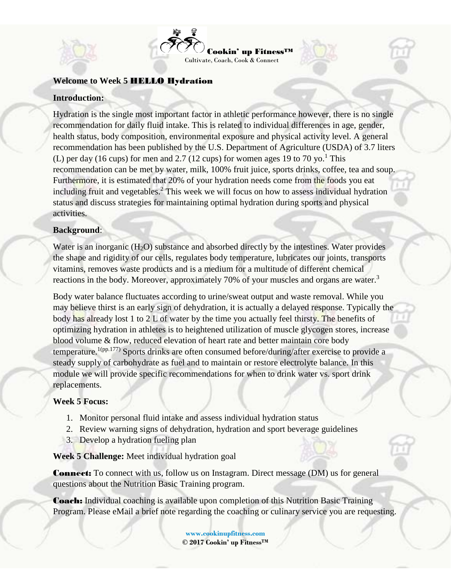

### **Welcome to Week 5** HELLO Hydration

### **Introduction:**

Hydration is the single most important factor in athletic performance however, there is no single recommendation for daily fluid intake. This is related to individual differences in age, gender, health status, body composition, environmental exposure and physical activity level. A general recommendation has been published by the U.S. Department of Agriculture (USDA) of 3.7 liters (L) per day (16 cups) for men and 2.7 (12 cups) for women ages 19 to 70 yo.<sup>1</sup> This recommendation can be met by water, milk, 100% fruit juice, sports drinks, coffee, tea and soup. Furthermore, it is estimated that 20% of your hydration needs come from the foods you eat including fruit and vegetables.<sup>2</sup> This week we will focus on how to assess individual hydration status and discuss strategies for maintaining optimal hydration during sports and physical activities.

#### **Background**:

Water is an inorganic  $(H<sub>2</sub>O)$  substance and absorbed directly by the intestines. Water provides the shape and rigidity of our cells, regulates body temperature, lubricates our joints, transports vitamins, removes waste products and is a medium for a multitude of different chemical reactions in the body. Moreover, approximately 70% of your muscles and organs are water.<sup>3</sup>

Body water balance fluctuates according to urine/sweat output and waste removal. While you may believe thirst is an early sign of dehydration, it is actually a delayed response. Typically the body has already lost 1 to 2 L of water by the time you actually feel thirsty. The benefits of optimizing hydration in athletes is to heightened utilization of muscle glycogen stores, increase blood volume & flow, reduced elevation of heart rate and better maintain core body temperature.<sup>1(pp.177)</sup> Sports drinks are often consumed before/during/after exercise to provide a steady supply of carbohydrate as fuel and to maintain or restore electrolyte balance. In this module we will provide specific recommendations for when to drink water vs. sport drink replacements.

### **Week 5 Focus:**

- 1. Monitor personal fluid intake and assess individual hydration status
- 2. Review warning signs of dehydration, hydration and sport beverage guidelines
- 3. Develop a hydration fueling plan

**Week 5 Challenge:** Meet individual hydration goal

Connect: To connect with us, follow us on [Instagram.](https://www.instagram.com/cookinupfitness/) Direct message (DM) us for general questions about the Nutrition Basic Training program.

Coach: Individual coaching is available upon completion of this Nutrition Basic Training Program. Please [eMail](mailto:info@cookinupfitness.com) a brief note regarding the coaching or culinary service you are requesting.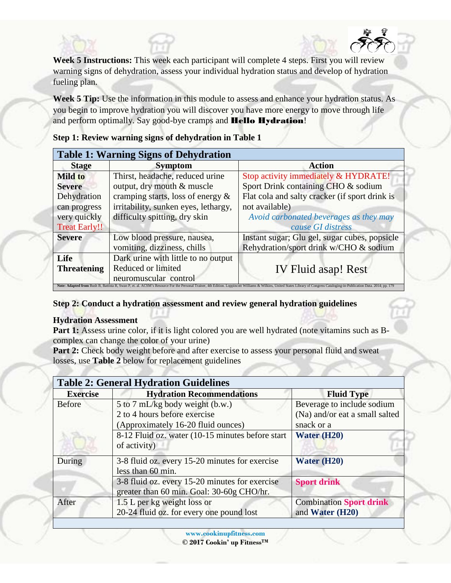**Week 5 Instructions:** This week each participant will complete 4 steps. First you will review warning signs of dehydration, assess your individual hydration status and develop of hydration fueling plan.

**Week 5 Tip:** Use the information in this module to assess and enhance your hydration status. As you begin to improve hydration you will discover you have more energy to move through life and perform optimally. Say good-bye cramps and **Hello Hydration!** 

**Table 1: Warning Signs of Dehydration Stage Symptom Action Mild to Severe** Dehydration can progress very quickly Treat Early!! Thirst, headache, reduced urine output, dry mouth & muscle cramping starts, loss of energy & irritability, sunken eyes, lethargy, difficulty spitting, dry skin Stop activity immediately & HYDRATE! Sport Drink containing CHO & sodium Flat cola and salty cracker (if sport drink is not available) *Avoid carbonated beverages as they may cause GI distress* **Severe** Low blood pressure, nausea, vomiting, dizziness, chills Instant sugar; Glu gel, sugar cubes, popsicle Rehydration/sport drink w/CHO & sodium **Life Threatening** Dark urine with little to no output Reduced or limited Reduced or limited<br>
IV Fluid asap! Rest<br>
neuromuscular control Note: Adapted from Bush B, Battista R, Swan P, et. al. ACSM's Resource For the Personal Trainer, 4th Edition. Loppincott Williams & Wilkins, United States Library of Congress Cataloging-in-Publication Data. 2014; pp. 179

**Step 1: Review warning signs of dehydration in Table 1**

**Step 2: Conduct a hydration assessment and review general hydration guidelines** 

## **Hydration Assessment**

**Part 1:** Assess urine color, if it is light colored you are well hydrated (note vitamins such as Bcomplex can change the color of your urine)

**Part 2:** Check body weight before and after exercise to assess your personal fluid and sweat losses, use **Table 2** below for replacement guidelines

| <b>Table 2: General Hydration Guidelines</b> |                                                  |                                |  |  |
|----------------------------------------------|--------------------------------------------------|--------------------------------|--|--|
| <b>Exercise</b>                              | <b>Hydration Recommendations</b>                 | <b>Fluid Type</b>              |  |  |
| <b>Before</b>                                | 5 to 7 mL/kg body weight (b.w.)                  | Beverage to include sodium     |  |  |
|                                              | 2 to 4 hours before exercise                     | (Na) and/or eat a small salted |  |  |
|                                              | (Approximately 16-20 fluid ounces)               | snack or a                     |  |  |
|                                              | 8-12 Fluid oz. water (10-15 minutes before start | <b>Water (H20)</b>             |  |  |
|                                              | of activity)                                     |                                |  |  |
| During                                       | 3-8 fluid oz. every 15-20 minutes for exercise   | Water (H20)                    |  |  |
|                                              | less than 60 min.                                |                                |  |  |
|                                              | 3-8 fluid oz. every 15-20 minutes for exercise   | <b>Sport drink</b>             |  |  |
|                                              | greater than 60 min. Goal: 30-60g CHO/hr.        |                                |  |  |
| After                                        | 1.5 L per kg weight loss or                      | <b>Combination Sport drink</b> |  |  |
|                                              | 20-24 fluid oz. for every one pound lost         | and Water (H20)                |  |  |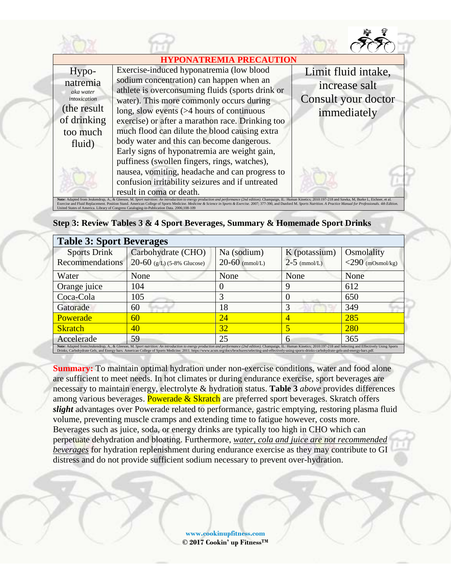| <b>HYPONATREMIA PRECAUTION</b>                                                                     |                                                                                                                                                                                                                                                                                                                                                                                                                                                                                                                                                                                              |                                                                            |  |  |  |
|----------------------------------------------------------------------------------------------------|----------------------------------------------------------------------------------------------------------------------------------------------------------------------------------------------------------------------------------------------------------------------------------------------------------------------------------------------------------------------------------------------------------------------------------------------------------------------------------------------------------------------------------------------------------------------------------------------|----------------------------------------------------------------------------|--|--|--|
| Hypo-<br>natremia<br>aka water<br>intoxication<br>(the result<br>of drinking<br>too much<br>fluid) | Exercise-induced hyponatremia (low blood<br>sodium concentration) can happen when an<br>athlete is overconsuming fluids (sports drink or<br>water). This more commonly occurs during<br>long, slow events $($ >4 hours of continuous<br>exercise) or after a marathon race. Drinking too<br>much flood can dilute the blood causing extra<br>body water and this can become dangerous.<br>Early signs of hyponatremia are weight gain,<br>puffiness (swollen fingers, rings, watches),<br>nausea, vomiting, headache and can progress to<br>confusion irritability seizures and if untreated | Limit fluid intake,<br>increase salt<br>Consult your doctor<br>immediately |  |  |  |
|                                                                                                    | result in coma or death.<br>Note: Adapted from Jeukendrup, A., & Gleeson, M. Sport nutrition: An introduction to energy production and performance (2nd edition). Champaign, IL: Human Kinetics; 2010:197-218 and Sawka, M, Burke L, Eichner, et al.                                                                                                                                                                                                                                                                                                                                         |                                                                            |  |  |  |

Exercise and Fluid Replacement. Position Stand. American College of Sports Medicine. Medicine & Science in Sports & Exercise. 2007; 377-390, and Dunford M. Sports Nutrition. A Practice Manual for Professionals. 4th Edition United States of America. Library of Congress Cataloging-in-Publication Data. 2006;108-109

| <b>Table 3: Sport Beverages</b>                                                                                                                                                                                                                                                                                                                                                                                                                 |                                                    |                                   |                                 |                                   |
|-------------------------------------------------------------------------------------------------------------------------------------------------------------------------------------------------------------------------------------------------------------------------------------------------------------------------------------------------------------------------------------------------------------------------------------------------|----------------------------------------------------|-----------------------------------|---------------------------------|-----------------------------------|
| <b>Sports Drink</b><br>Recommendations                                                                                                                                                                                                                                                                                                                                                                                                          | Carbohydrate (CHO)<br>$20-60$ (g/L) (5-8% Glucose) | Na (sodium)<br>$20 - 60$ (mmol/L) | K (potassium)<br>$2-5$ (mmol/L) | Osmolality<br>$<$ 290 (mOsmol/kg) |
| Water                                                                                                                                                                                                                                                                                                                                                                                                                                           | None                                               | None                              | None                            | None                              |
| Orange juice                                                                                                                                                                                                                                                                                                                                                                                                                                    | 104                                                |                                   |                                 | 612                               |
| Coca-Cola                                                                                                                                                                                                                                                                                                                                                                                                                                       | 105                                                |                                   |                                 | 650                               |
| Gatorade                                                                                                                                                                                                                                                                                                                                                                                                                                        | 60                                                 | 18                                |                                 | 349                               |
| <b>Powerade</b>                                                                                                                                                                                                                                                                                                                                                                                                                                 | 60                                                 | 24                                |                                 | 285                               |
| <b>Skratch</b>                                                                                                                                                                                                                                                                                                                                                                                                                                  | 40                                                 | 32                                |                                 | 280                               |
| Accelerade                                                                                                                                                                                                                                                                                                                                                                                                                                      | 59                                                 | 25                                | 6                               | 365                               |
| Note: Adapted from:Jeukendrup, A., & Gleeson, M. Sport nutrition: An introduction to energy production and performance (2nd edition). Champaign, IL: Human Kinetics; 2010:197-218 and Selecting and Effectively Using Sports<br>Drinks, Carbohydrate Gels, and Energy bars. American College of Sports Medicine. 2011. https://www.acsm.org/docs/brochures/selecting-and-effectively-using-sports-drinks-carbohydrate-gels-and-energy-bars.pdf. |                                                    |                                   |                                 |                                   |

**Summary:** To maintain optimal hydration under non-exercise conditions, water and food alone are sufficient to meet needs. In hot climates or during endurance exercise, sport beverages are necessary to maintain energy, electrolyte & hydration status. **Table 3** *above* provides differences among various beverages. Powerade  $&$  Skratch are preferred sport beverages. Skratch offers *slight* advantages over Powerade related to performance, gastric emptying, restoring plasma fluid volume, preventing muscle cramps and extending time to fatigue however, costs more. Beverages such as juice, soda, or energy drinks are typically too high in CHO which can perpetuate dehydration and bloating. Furthermore, *water, cola and juice are not recommended beverages* for hydration replenishment during endurance exercise as they may contribute to GI distress and do not provide sufficient sodium necessary to prevent over-hydration.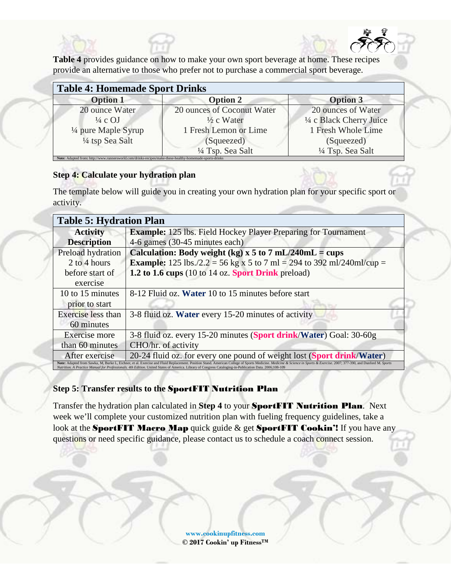**Table 4** provides guidance on how to make your own sport beverage at home. These recipes provide an alternative to those who prefer not to purchase a commercial sport beverage.

| <b>Table 4: Homemade Sport Drinks</b> |                            |                          |  |  |  |
|---------------------------------------|----------------------------|--------------------------|--|--|--|
| <b>Option 1</b>                       | <b>Option 2</b>            | <b>Option 3</b>          |  |  |  |
| 20 ounce Water                        | 20 ounces of Coconut Water | 20 ounces of Water       |  |  |  |
| $\frac{1}{4}$ c OJ                    | $\frac{1}{2}$ c Water      | 1/4 c Black Cherry Juice |  |  |  |
| $\frac{1}{4}$ pure Maple Syrup        | 1 Fresh Lemon or Lime      | 1 Fresh Whole Lime       |  |  |  |
| 1/4 tsp Sea Salt                      | (Squeezed)                 | (Squeezed)               |  |  |  |
|                                       | 1/4 Tsp. Sea Salt          | 1/4 Tsp. Sea Salt        |  |  |  |

# **Step 4: Calculate your hydration plan**

The template below will guide you in creating your own hydration plan for your specific sport or activity.

| <b>Table 5: Hydration Plan</b>                                                                                                                                                                                                                                                                                                                                                      |                                                                              |  |
|-------------------------------------------------------------------------------------------------------------------------------------------------------------------------------------------------------------------------------------------------------------------------------------------------------------------------------------------------------------------------------------|------------------------------------------------------------------------------|--|
| <b>Activity</b>                                                                                                                                                                                                                                                                                                                                                                     | <b>Example:</b> 125 lbs. Field Hockey Player Preparing for Tournament        |  |
| <b>Description</b>                                                                                                                                                                                                                                                                                                                                                                  | 4-6 games (30-45 minutes each)                                               |  |
| Preload hydration                                                                                                                                                                                                                                                                                                                                                                   | Calculation: Body weight (kg) x 5 to 7 mL/240mL = cups                       |  |
| 2 to 4 hours                                                                                                                                                                                                                                                                                                                                                                        | <b>Example:</b> 125 lbs./2.2 = 56 kg x 5 to 7 ml = 294 to 392 ml/240ml/cup = |  |
| before start of                                                                                                                                                                                                                                                                                                                                                                     | 1.2 to 1.6 cups (10 to 14 oz. Sport Drink preload)                           |  |
| exercise                                                                                                                                                                                                                                                                                                                                                                            |                                                                              |  |
| 10 to 15 minutes                                                                                                                                                                                                                                                                                                                                                                    | 8-12 Fluid oz. Water 10 to 15 minutes before start                           |  |
| prior to start                                                                                                                                                                                                                                                                                                                                                                      |                                                                              |  |
| Exercise less than                                                                                                                                                                                                                                                                                                                                                                  | 3-8 fluid oz. Water every 15-20 minutes of activity                          |  |
| 60 minutes                                                                                                                                                                                                                                                                                                                                                                          |                                                                              |  |
| Exercise more                                                                                                                                                                                                                                                                                                                                                                       | 3-8 fluid oz. every 15-20 minutes (Sport drink/Water) Goal: 30-60g           |  |
| than 60 minutes                                                                                                                                                                                                                                                                                                                                                                     | CHO/hr. of activity                                                          |  |
| After exercise                                                                                                                                                                                                                                                                                                                                                                      | 20-24 fluid oz. for every one pound of weight lost (Sport drink/Water)       |  |
| Note: Adapted from Sawka, M, Burke L, Eichner, et al. Exercise and Fluid Replacement. Position Stand. American College of Sports Medicine. Medicine & Science in Sports & Exercise. 2007; 377-390, and Dunford M. Sports<br>Nutrition. A Practice Manual for Professionals. 4th Edition. United States of America. Library of Congress Cataloging-in-Publication Data. 2006;108-109 |                                                                              |  |

# **Step 5: Transfer results to the** SportFIT Nutrition Plan

Transfer the hydration plan calculated in **Step 4** to your SportFIT Nutrition Plan. Next week we'll complete your customized nutrition plan with fueling frequency guidelines, take a look at the SportFIT Macro Map quick guide  $\&$  get SportFIT Cookin'! If you have any questions or need specific guidance, please contact us to schedule a coach connect session.